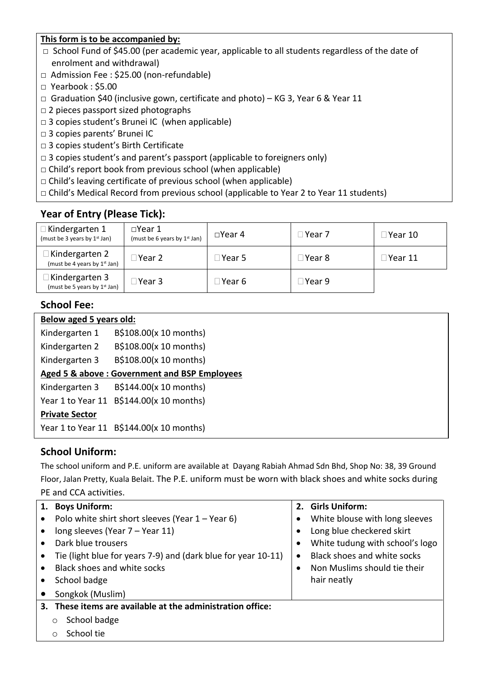#### **This form is to be accompanied by:**

- □ School Fund of \$45.00 (per academic year, applicable to all students regardless of the date of enrolment and withdrawal)
- □ Admission Fee : \$25.00 (non-refundable)
- □ Yearbook : \$5.00
- □ Graduation \$40 (inclusive gown, certificate and photo) KG 3, Year 6 & Year 11
- $\Box$  2 pieces passport sized photographs
- $\Box$  3 copies student's Brunei IC (when applicable)
- □ 3 copies parents' Brunei IC
- □ 3 copies student's Birth Certificate
- $\Box$  3 copies student's and parent's passport (applicable to foreigners only)
- $\Box$  Child's report book from previous school (when applicable)
- $\Box$  Child's leaving certificate of previous school (when applicable)
- □ Child's Medical Record from previous school (applicable to Year 2 to Year 11 students)

## **Year of Entry (Please Tick):**

| $\Box$ Kindergarten 1<br>(must be 3 years by 1 <sup>st</sup> Jan) | $\square$ Year 1<br>(must be 6 years by $1st$ Jan) | $\Box$ Year 4 | ∃Year 7 | □Year 10       |
|-------------------------------------------------------------------|----------------------------------------------------|---------------|---------|----------------|
| Kindergarten 2<br>(must be 4 years by 1 <sup>st</sup> Jan)        | $\sqcap$ Year 2 $\sqcap$                           | ∃Year 5       | ∃Year 8 | $\Box$ Year 11 |
| Kindergarten 3<br>(must be 5 years by 1 <sup>st</sup> Jan)        | $\square$ Year 3                                   | ∃Year 6       | ∃Year 9 |                |

### **School Fee:**

| Below aged 5 years old: |                                              |  |  |
|-------------------------|----------------------------------------------|--|--|
| Kindergarten 1          | B\$108.00(x 10 months)                       |  |  |
| Kindergarten 2          | B\$108.00(x 10 months)                       |  |  |
| Kindergarten 3          | B\$108.00(x 10 months)                       |  |  |
|                         | Aged 5 & above: Government and BSP Employees |  |  |
| Kindergarten 3          | B\$144.00(x 10 months)                       |  |  |
|                         | Year 1 to Year 11 B\$144.00(x 10 months)     |  |  |
| <b>Private Sector</b>   |                                              |  |  |
|                         | Year 1 to Year 11 B\$144.00(x 10 months)     |  |  |

#### **School Uniform:**

The school uniform and P.E. uniform are available at Dayang Rabiah Ahmad Sdn Bhd, Shop No: 38, 39 Ground Floor, Jalan Pretty, Kuala Belait. The P.E. uniform must be worn with black shoes and white socks during PE and CCA activities.

|                             | 1. Boys Uniform:                                              |           | 2. Girls Uniform:               |  |  |  |
|-----------------------------|---------------------------------------------------------------|-----------|---------------------------------|--|--|--|
|                             | Polo white shirt short sleeves (Year $1 -$ Year 6)            |           | White blouse with long sleeves  |  |  |  |
| $\bullet$                   | long sleeves (Year 7 – Year 11)                               |           | Long blue checkered skirt       |  |  |  |
| $\bullet$                   | Dark blue trousers                                            |           | White tudung with school's logo |  |  |  |
|                             | Tie (light blue for years 7-9) and (dark blue for year 10-11) | $\bullet$ | Black shoes and white socks     |  |  |  |
| $\bullet$                   | Black shoes and white socks                                   |           | Non Muslims should tie their    |  |  |  |
| hair neatly<br>School badge |                                                               |           |                                 |  |  |  |
|                             | Songkok (Muslim)                                              |           |                                 |  |  |  |
|                             | 3. These items are available at the administration office:    |           |                                 |  |  |  |
|                             | School badge<br>O                                             |           |                                 |  |  |  |
|                             | School tie<br>∩                                               |           |                                 |  |  |  |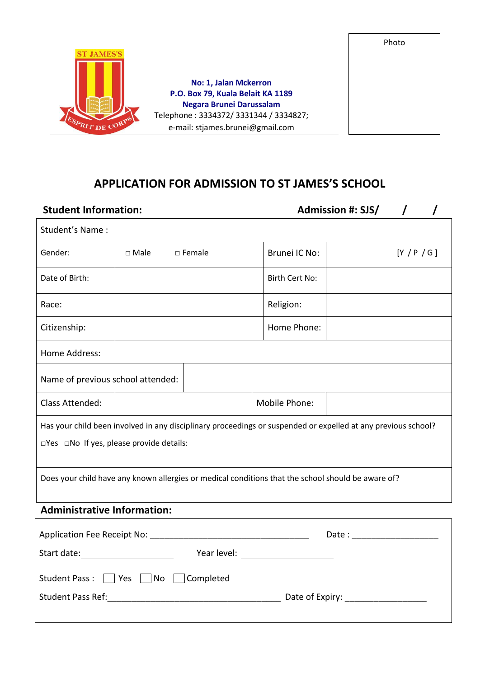

# **APPLICATION FOR ADMISSION TO ST JAMES'S SCHOOL**

| <b>Student Information:</b>                                |                    |                  |                                                                                                               | <b>Admission #: SJS/</b>   |             |  |
|------------------------------------------------------------|--------------------|------------------|---------------------------------------------------------------------------------------------------------------|----------------------------|-------------|--|
| Student's Name:                                            |                    |                  |                                                                                                               |                            |             |  |
| Gender:                                                    | $\square$ Male     | $\square$ Female | Brunei IC No:                                                                                                 |                            | [Y / P / G] |  |
| Date of Birth:                                             |                    |                  | Birth Cert No:                                                                                                |                            |             |  |
| Race:                                                      |                    |                  | Religion:                                                                                                     |                            |             |  |
| Citizenship:                                               |                    |                  | Home Phone:                                                                                                   |                            |             |  |
| Home Address:                                              |                    |                  |                                                                                                               |                            |             |  |
| Name of previous school attended:                          |                    |                  |                                                                                                               |                            |             |  |
| Class Attended:                                            |                    |                  | Mobile Phone:                                                                                                 |                            |             |  |
|                                                            |                    |                  | Has your child been involved in any disciplinary proceedings or suspended or expelled at any previous school? |                            |             |  |
| $\square$ Yes $\square$ No If yes, please provide details: |                    |                  |                                                                                                               |                            |             |  |
|                                                            |                    |                  | Does your child have any known allergies or medical conditions that the school should be aware of?            |                            |             |  |
| <b>Administrative Information:</b>                         |                    |                  |                                                                                                               |                            |             |  |
|                                                            |                    |                  |                                                                                                               | Date: ____________________ |             |  |
| Start date: ______________________                         |                    |                  |                                                                                                               |                            |             |  |
| Student Pass:     Yes                                      | $\vert$ $\vert$ No | Completed        |                                                                                                               |                            |             |  |
| <b>Student Pass Ref:</b>                                   |                    |                  | Date of Expiry:                                                                                               |                            |             |  |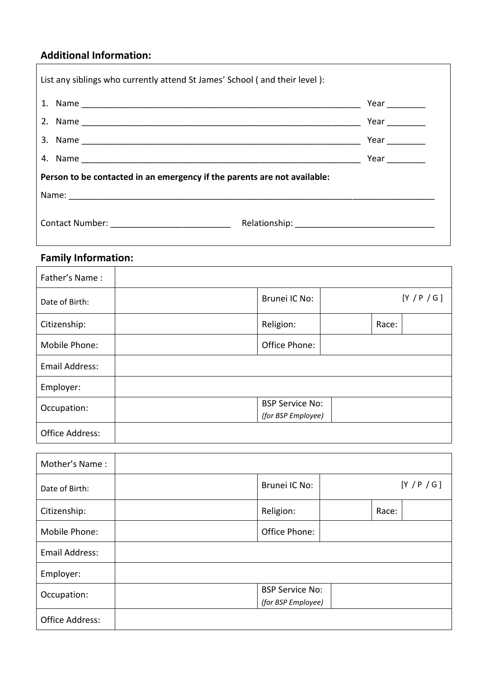## **Additional Information:**

| List any siblings who currently attend St James' School (and their level): |             |  |  |  |
|----------------------------------------------------------------------------|-------------|--|--|--|
|                                                                            |             |  |  |  |
|                                                                            | Year $\_\_$ |  |  |  |
|                                                                            | Year $\_\_$ |  |  |  |
|                                                                            |             |  |  |  |
| Person to be contacted in an emergency if the parents are not available:   |             |  |  |  |
|                                                                            |             |  |  |  |
| Contact Number: ____________________________                               |             |  |  |  |

# **Family Information:**

| Father's Name:        |                                              |             |
|-----------------------|----------------------------------------------|-------------|
| Date of Birth:        | Brunei IC No:                                | [Y / P / G] |
| Citizenship:          | Religion:                                    | Race:       |
| Mobile Phone:         | Office Phone:                                |             |
| <b>Email Address:</b> |                                              |             |
| Employer:             |                                              |             |
| Occupation:           | <b>BSP Service No:</b><br>(for BSP Employee) |             |
| Office Address:       |                                              |             |

| Mother's Name:  |                        |       |             |
|-----------------|------------------------|-------|-------------|
| Date of Birth:  | Brunei IC No:          |       | [Y / P / G] |
| Citizenship:    | Religion:              | Race: |             |
| Mobile Phone:   | Office Phone:          |       |             |
| Email Address:  |                        |       |             |
| Employer:       |                        |       |             |
| Occupation:     | <b>BSP Service No:</b> |       |             |
|                 | (for BSP Employee)     |       |             |
| Office Address: |                        |       |             |